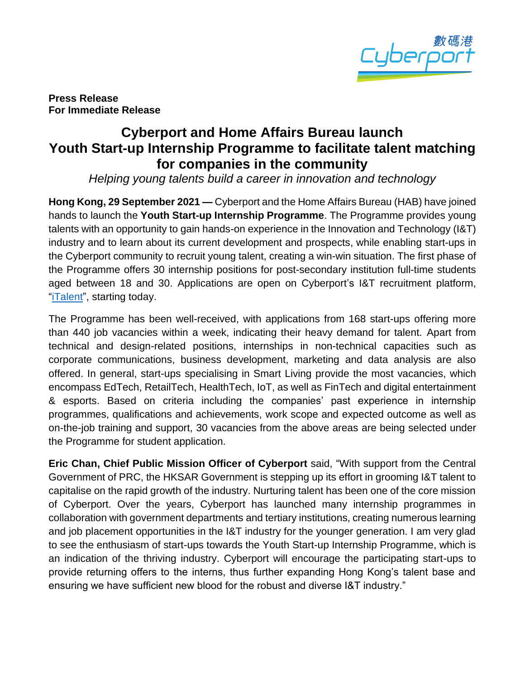

**Press Release For Immediate Release**

## **Cyberport and Home Affairs Bureau launch Youth Start-up Internship Programme to facilitate talent matching for companies in the community**

*Helping young talents build a career in innovation and technology*

**Hong Kong, 29 September 2021 —** Cyberport and the Home Affairs Bureau (HAB) have joined hands to launch the **Youth Start-up Internship Programme**. The Programme provides young talents with an opportunity to gain hands-on experience in the Innovation and Technology (I&T) industry and to learn about its current development and prospects, while enabling start-ups in the Cyberport community to recruit young talent, creating a win-win situation. The first phase of the Programme offers 30 internship positions for post-secondary institution full-time students aged between 18 and 30. Applications are open on Cyberport's I&T recruitment platform, ["iTalent"](https://italent.cyberport.hk/), starting today.

The Programme has been well-received, with applications from 168 start-ups offering more than 440 job vacancies within a week, indicating their heavy demand for talent. Apart from technical and design-related positions, internships in non-technical capacities such as corporate communications, business development, marketing and data analysis are also offered. In general, start-ups specialising in Smart Living provide the most vacancies, which encompass EdTech, RetailTech, HealthTech, IoT, as well as FinTech and digital entertainment & esports. Based on criteria including the companies' past experience in internship programmes, qualifications and achievements, work scope and expected outcome as well as on-the-job training and support, 30 vacancies from the above areas are being selected under the Programme for student application.

**Eric Chan, Chief Public Mission Officer of Cyberport** said, "With support from the Central Government of PRC, the HKSAR Government is stepping up its effort in grooming I&T talent to capitalise on the rapid growth of the industry. Nurturing talent has been one of the core mission of Cyberport. Over the years, Cyberport has launched many internship programmes in collaboration with government departments and tertiary institutions, creating numerous learning and job placement opportunities in the I&T industry for the younger generation. I am very glad to see the enthusiasm of start-ups towards the Youth Start-up Internship Programme, which is an indication of the thriving industry. Cyberport will encourage the participating start-ups to provide returning offers to the interns, thus further expanding Hong Kong's talent base and ensuring we have sufficient new blood for the robust and diverse I&T industry."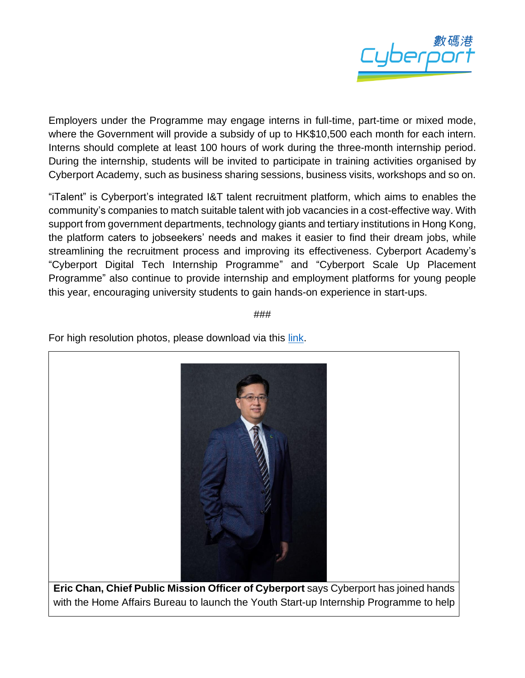

Employers under the Programme may engage interns in full-time, part-time or mixed mode, where the Government will provide a subsidy of up to HK\$10,500 each month for each intern. Interns should complete at least 100 hours of work during the three-month internship period. During the internship, students will be invited to participate in training activities organised by Cyberport Academy, such as business sharing sessions, business visits, workshops and so on.

"iTalent" is Cyberport's integrated I&T talent recruitment platform, which aims to enables the community's companies to match suitable talent with job vacancies in a cost-effective way. With support from government departments, technology giants and tertiary institutions in Hong Kong, the platform caters to jobseekers' needs and makes it easier to find their dream jobs, while streamlining the recruitment process and improving its effectiveness. Cyberport Academy's "Cyberport Digital Tech Internship Programme" and "Cyberport Scale Up Placement Programme" also continue to provide internship and employment platforms for young people this year, encouraging university students to gain hands-on experience in start-ups.

###

For high resolution photos, please download via this [link.](https://drive.google.com/drive/folders/1O3XZuUKMBmKAE7opdhaBVxVeuz0E2_8s?usp=sharing)



**Eric Chan, Chief Public Mission Officer of Cyberport** says Cyberport has joined hands with the Home Affairs Bureau to launch the Youth Start-up Internship Programme to help